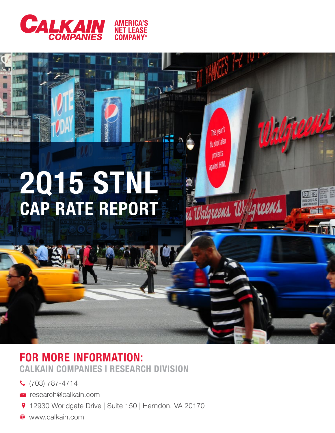

# 2Q15 STNL CAP RATE REPORT

Walgreette

This year's

flu shot also

protects

against HINI.

Walgreens Walgreens

## FOR MORE INFORMATION: CALKAIN COMPANIES | RESEARCH DIVISION

- (703) 787-4714
- research@calkain.com
- 12930 Worldgate Drive | Suite 150 | Herndon, VA 20170
- www.calkain.com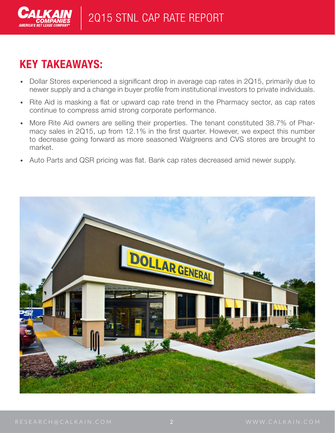

# KEY TAKEAWAYS:

- Dollar Stores experienced a significant drop in average cap rates in 2Q15, primarily due to newer supply and a change in buyer profile from institutional investors to private individuals.
- Rite Aid is masking a flat or upward cap rate trend in the Pharmacy sector, as cap rates continue to compress amid strong corporate performance.
- More Rite Aid owners are selling their properties. The tenant constituted 38.7% of Pharmacy sales in 2Q15, up from 12.1% in the first quarter. However, we expect this number to decrease going forward as more seasoned Walgreens and CVS stores are brought to market.
- Auto Parts and QSR pricing was flat. Bank cap rates decreased amid newer supply.

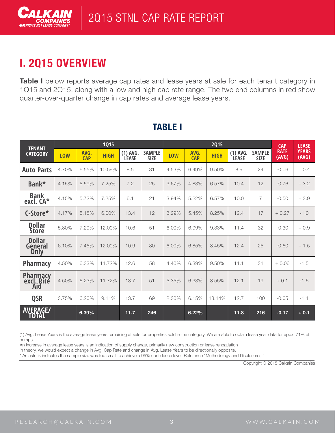

# I. 2Q15 OVERVIEW

Table I below reports average cap rates and lease years at sale for each tenant category in 1Q15 and 2Q15, along with a low and high cap rate range. The two end columns in red show quarter-over-quarter change in cap rates and average lease years.

| <b>TENANT</b><br><b>CATEGORY</b> | 1015  |                    |             |                            |                              | <b>2Q15</b> |                    |             |                            |                              | <b>CAP</b>           | <b>LEASE</b>          |
|----------------------------------|-------|--------------------|-------------|----------------------------|------------------------------|-------------|--------------------|-------------|----------------------------|------------------------------|----------------------|-----------------------|
|                                  | LOW   | AVG.<br><b>CAP</b> | <b>HIGH</b> | $(1)$ AVG.<br><b>LEASE</b> | <b>SAMPLE</b><br><b>SIZE</b> | <b>LOW</b>  | AVG.<br><b>CAP</b> | <b>HIGH</b> | $(1)$ AVG.<br><b>LEASE</b> | <b>SAMPLE</b><br><b>SIZE</b> | <b>RATE</b><br>(AVG) | <b>YEARS</b><br>(AVG) |
| <b>Auto Parts</b>                | 4.70% | 6.55%              | 10.59%      | 8.5                        | 31                           | 4.53%       | 6.49%              | 9.50%       | 8.9                        | 24                           | $-0.06$              | $+0.4$                |
| Bank*                            | 4.15% | 5.59%              | 7.25%       | 7.2                        | 25                           | 3.67%       | 4.83%              | 6.57%       | 10.4                       | 12                           | $-0.76$              | $+3.2$                |
| <b>Bank</b><br>excl. CA*         | 4.15% | 5.72%              | 7.25%       | 6.1                        | 21                           | 3.94%       | 5.22%              | 6.57%       | 10.0                       | $\overline{7}$               | $-0.50$              | $+3.9$                |
| C-Store*                         | 4.17% | 5.18%              | 6.00%       | 13.4                       | 12                           | 3.29%       | 5.45%              | 8.25%       | 12.4                       | 17                           | $+0.27$              | $-1.0$                |
| <b>Dollar</b><br><b>Store</b>    | 5.80% | 7.29%              | 12.00%      | 10.6                       | 51                           | 6.00%       | 6.99%              | 9.33%       | 11.4                       | 32                           | $-0.30$              | $+0.9$                |
| <b>Dollar</b><br>General<br>Only | 6.10% | 7.45%              | 12.00%      | 10.9                       | 30                           | 6.00%       | 6.85%              | 8.45%       | 12.4                       | 25                           | $-0.60$              | $+1.5$                |
| <b>Pharmacy</b>                  | 4.50% | 6.33%              | 11.72%      | 12.6                       | 58                           | 4.40%       | 6.39%              | 9.50%       | 11.1                       | 31                           | $+0.06$              | $-1.5$                |
| Pharmacy<br>excl. Rite<br>Aid    | 4.50% | 6.23%              | 11.72%      | 13.7                       | 51                           | 5.35%       | 6.33%              | 8.55%       | 12.1                       | 19                           | $+0.1$               | $-1.6$                |
| <b>QSR</b>                       | 3.75% | 6.20%              | 9.11%       | 13.7                       | 69                           | 2.30%       | 6.15%              | 13.14%      | 12.7                       | 100                          | $-0.05$              | $-1.1$                |
| <b>AVERAGE/</b><br>TOTAL         |       | 6.39%              |             | 11.7                       | 246                          |             | 6.22%              |             | 11.8                       | 216                          | $-0.17$              | $+0.1$                |

## TABLE I

(1) Avg. Lease Years is the average lease years remaining at sale for properties sold in the category. We are able to obtain lease year data for appx. 71% of comps.

An increase in average lease years is an indication of supply change, primarily new construction or lease renogtiation

In theory, we would expect a change in Avg. Cap Rate and change in Avg. Lease Years to be directionally opposite.

\* As asterik indicates the sample size was too small to achieve a 95% confidence level. Reference "Methodology and Disclosures."

Copyright © 2015 Calkain Companies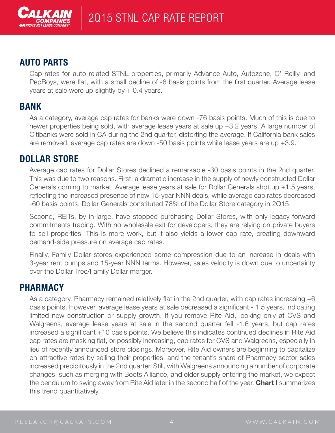

#### AUTO PARTS

Cap rates for auto related STNL properties, primarily Advance Auto, Autozone, O' Reilly, and PepBoys, were flat, with a small decline of -6 basis points from the first quarter. Average lease years at sale were up slightly by  $+ 0.4$  years.

#### BANK

As a category, average cap rates for banks were down -76 basis points. Much of this is due to newer properties being sold, with average lease years at sale up +3.2 years. A large number of Citibanks were sold in CA during the 2nd quarter, distorting the average. If California bank sales are removed, average cap rates are down -50 basis points while lease years are up +3.9.

#### DOLLAR STORE

Average cap rates for Dollar Stores declined a remarkable -30 basis points in the 2nd quarter. This was due to two reasons. First, a dramatic increase in the supply of newly constructed Dollar Generals coming to market. Average lease years at sale for Dollar Generals shot up +1.5 years, reflecting the increased presence of new 15-year NNN deals, while average cap rates decreased -60 basis points. Dollar Generals constituted 78% of the Dollar Store category in 2Q15.

Second, REITs, by in-large, have stopped purchasing Dollar Stores, with only legacy forward commitments trading. With no wholesale exit for developers, they are relying on private buyers to sell properties. This is more work, but it also yields a lower cap rate, creating downward demand-side pressure on average cap rates.

Finally, Family Dollar stores experienced some compression due to an increase in deals with 3-year rent bumps and 15-year NNN terms. However, sales velocity is down due to uncertainty over the Dollar Tree/Family Dollar merger.

#### PHARMACY

As a category, Pharmacy remained relatively flat in the 2nd quarter, with cap rates increasing +6 basis points. However, average lease years at sale decreased a significant - 1.5 years, indicating limited new construction or supply growth. If you remove Rite Aid, looking only at CVS and Walgreens, average lease years at sale in the second quarter fell -1.6 years, but cap rates increased a significant +10 basis points. We believe this indicates continued declines in Rite Aid cap rates are masking flat, or possibly increasing, cap rates for CVS and Walgreens, especially in lieu of recently announced store closings. Moreover, Rite Aid owners are beginning to capitalize on attractive rates by selling their properties, and the tenant's share of Pharmacy sector sales increased precipitously in the 2nd quarter. Still, with Walgreens announcing a number of corporate changes, such as merging with Boots Alliance, and older supply entering the market, we expect the pendulum to swing away from Rite Aid later in the second half of the year. Chart I summarizes this trend quantitatively.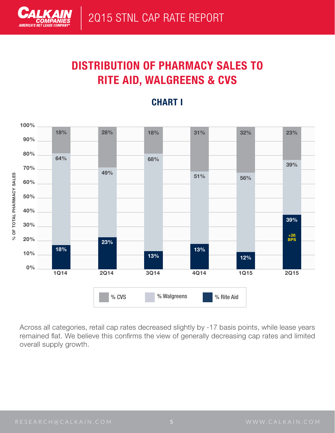

# DISTRIBUTION OF PHARMACY SALES TO RITE AID, WALGREENS & CVS



#### CHART I

Across all categories, retail cap rates decreased slightly by -17 basis points, while lease years remained flat. We believe this confirms the view of generally decreasing cap rates and limited overall supply growth.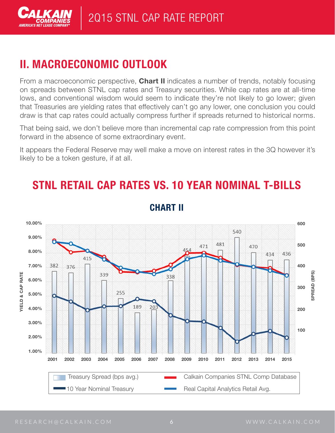

# II. MACROECONOMIC OUTLOOK

From a macroeconomic perspective, **Chart II** indicates a number of trends, notably focusing on spreads between STNL cap rates and Treasury securities. While cap rates are at all-time lows, and conventional wisdom would seem to indicate they're not likely to go lower; given that Treasuries are yielding rates that effectively can't go any lower, one conclusion you could draw is that cap rates could actually compress further if spreads returned to historical norms.

That being said, we don't believe more than incremental cap rate compression from this point forward in the absence of some extraordinary event.

It appears the Federal Reserve may well make a move on interest rates in the 3Q however it's likely to be a token gesture, if at all.

# STNL RETAIL CAP RATES VS. 10 YEAR NOMINAL T-BILLS



### CHART II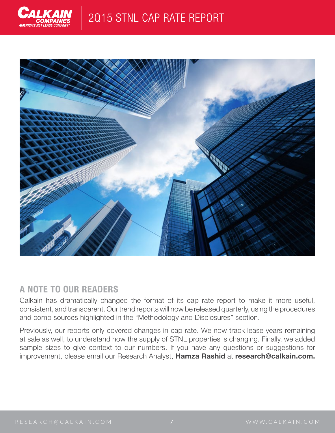



#### A NOTE TO OUR READERS

Calkain has dramatically changed the format of its cap rate report to make it more useful, consistent, and transparent. Our trend reports will now be released quarterly, using the procedures and comp sources highlighted in the "Methodology and Disclosures" section.

Previously, our reports only covered changes in cap rate. We now track lease years remaining at sale as well, to understand how the supply of STNL properties is changing. Finally, we added sample sizes to give context to our numbers. If you have any questions or suggestions for improvement, please email our Research Analyst, Hamza Rashid at research@calkain.com.